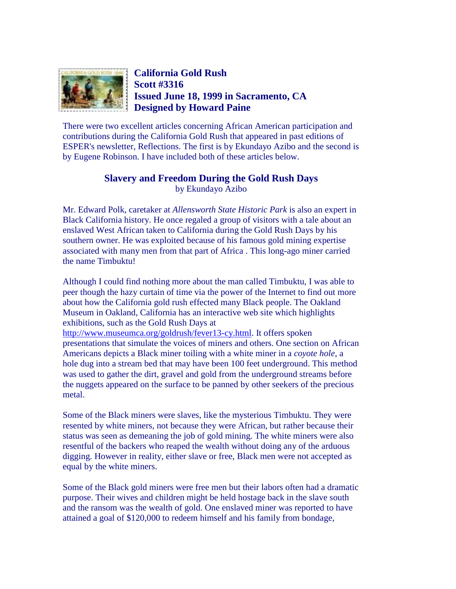

## **California Gold Rush Scott #3316 Issued June 18, 1999 in Sacramento, CA Designed by Howard Paine**

There were two excellent articles concerning African American participation and contributions during the California Gold Rush that appeared in past editions of ESPER's newsletter, Reflections. The first is by Ekundayo Azibo and the second is by Eugene Robinson. I have included both of these articles below.

## **Slavery and Freedom During the Gold Rush Days** by Ekundayo Azibo

Mr. Edward Polk, caretaker at *Allensworth State Historic Park* is also an expert in Black California history. He once regaled a group of visitors with a tale about an enslaved West African taken to California during the Gold Rush Days by his southern owner. He was exploited because of his famous gold mining expertise associated with many men from that part of Africa . This long-ago miner carried the name Timbuktu!

Although I could find nothing more about the man called Timbuktu, I was able to peer though the hazy curtain of time via the power of the Internet to find out more about how the California gold rush effected many Black people. The Oakland Museum in Oakland, California has an interactive web site which highlights exhibitions, such as the Gold Rush Days at [http://www.museumca.org/goldrush/fever13-cy.html.](http://www.museumca.org/goldrush/fever13-cy.html) It offers spoken

presentations that simulate the voices of miners and others. One section on African Americans depicts a Black miner toiling with a white miner in a *coyote hole*, a hole dug into a stream bed that may have been 100 feet underground. This method was used to gather the dirt, gravel and gold from the underground streams before the nuggets appeared on the surface to be panned by other seekers of the precious metal.

Some of the Black miners were slaves, like the mysterious Timbuktu. They were resented by white miners, not because they were African, but rather because their status was seen as demeaning the job of gold mining. The white miners were also resentful of the backers who reaped the wealth without doing any of the arduous digging. However in reality, either slave or free, Black men were not accepted as equal by the white miners.

Some of the Black gold miners were free men but their labors often had a dramatic purpose. Their wives and children might be held hostage back in the slave south and the ransom was the wealth of gold. One enslaved miner was reported to have attained a goal of \$120,000 to redeem himself and his family from bondage,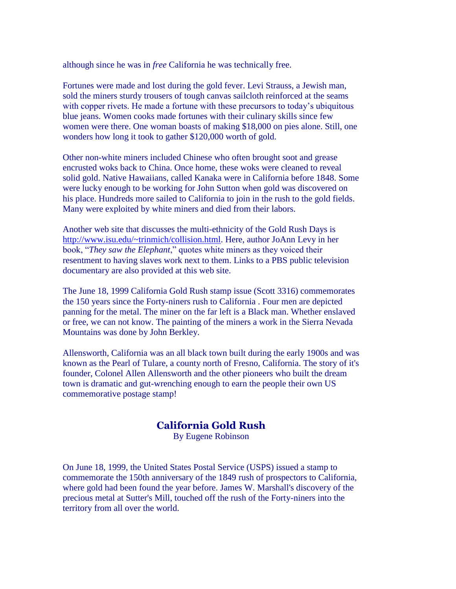although since he was in *free* California he was technically free.

Fortunes were made and lost during the gold fever. Levi Strauss, a Jewish man, sold the miners sturdy trousers of tough canvas sailcloth reinforced at the seams with copper rivets. He made a fortune with these precursors to today's ubiquitous blue jeans. Women cooks made fortunes with their culinary skills since few women were there. One woman boasts of making \$18,000 on pies alone. Still, one wonders how long it took to gather \$120,000 worth of gold.

Other non-white miners included Chinese who often brought soot and grease encrusted woks back to China. Once home, these woks were cleaned to reveal solid gold. Native Hawaiians, called Kanaka were in California before 1848. Some were lucky enough to be working for John Sutton when gold was discovered on his place. Hundreds more sailed to California to join in the rush to the gold fields. Many were exploited by white miners and died from their labors.

Another web site that discusses the multi-ethnicity of the Gold Rush Days is [http://www.isu.edu/~trinmich/collision.html.](http://www.isu.edu/~trinmich/collision.html) Here, author JoAnn Levy in her book, "*They saw the Elephant*," quotes white miners as they voiced their resentment to having slaves work next to them. Links to a PBS public television documentary are also provided at this web site.

The June 18, 1999 California Gold Rush stamp issue (Scott 3316) commemorates the 150 years since the Forty-niners rush to California . Four men are depicted panning for the metal. The miner on the far left is a Black man. Whether enslaved or free, we can not know. The painting of the miners a work in the Sierra Nevada Mountains was done by John Berkley.

Allensworth, California was an all black town built during the early 1900s and was known as the Pearl of Tulare, a county north of Fresno, California. The story of it's founder, Colonel Allen Allensworth and the other pioneers who built the dream town is dramatic and gut-wrenching enough to earn the people their own US commemorative postage stamp!

## **California Gold Rush**

By Eugene Robinson

On June 18, 1999, the United States Postal Service (USPS) issued a stamp to commemorate the 150th anniversary of the 1849 rush of prospectors to California, where gold had been found the year before. James W. Marshall's discovery of the precious metal at Sutter's Mill, touched off the rush of the Forty-niners into the territory from all over the world.